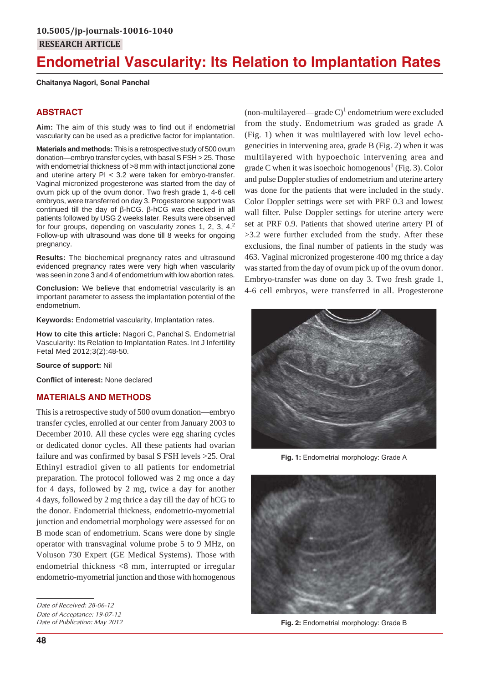# **Endometrial Vascularity: Its Relation to Implantation Rates**

#### **Chaitanya Nagori, Sonal Panchal**

# **ABSTRACT**

**Aim:** The aim of this study was to find out if endometrial vascularity can be used as a predictive factor for implantation.

**Materials and methods:** This is a retrospective study of 500 ovum donation—embryo transfer cycles, with basal S FSH > 25. Those with endometrial thickness of >8 mm with intact junctional zone and uterine artery PI < 3.2 were taken for embryo-transfer. Vaginal micronized progesterone was started from the day of ovum pick up of the ovum donor. Two fresh grade 1, 4-6 cell embryos, were transferred on day 3. Progesterone support was continued till the day of β-hCG. β-hCG was checked in all patients followed by USG 2 weeks later. Results were observed for four groups, depending on vascularity zones 1, 2, 3, 4.<sup>2</sup> Follow-up with ultrasound was done till 8 weeks for ongoing pregnancy.

**Results:** The biochemical pregnancy rates and ultrasound evidenced pregnancy rates were very high when vascularity was seen in zone 3 and 4 of endometrium with low abortion rates.

**Conclusion:** We believe that endometrial vascularity is an important parameter to assess the implantation potential of the endometrium.

**Keywords:** Endometrial vascularity, Implantation rates.

**How to cite this article:** Nagori C, Panchal S. Endometrial Vascularity: Its Relation to Implantation Rates. Int J Infertility Fetal Med 2012;3(2):48-50.

**Source of support:** Nil

**Conflict of interest:** None declared

# **MATERIALS AND METHODS**

This is a retrospective study of 500 ovum donation—embryo transfer cycles, enrolled at our center from January 2003 to December 2010. All these cycles were egg sharing cycles or dedicated donor cycles. All these patients had ovarian failure and was confirmed by basal S FSH levels >25. Oral Ethinyl estradiol given to all patients for endometrial preparation. The protocol followed was 2 mg once a day for 4 days, followed by 2 mg, twice a day for another 4 days, followed by 2 mg thrice a day till the day of hCG to the donor. Endometrial thickness, endometrio-myometrial junction and endometrial morphology were assessed for on B mode scan of endometrium. Scans were done by single operator with transvaginal volume probe 5 to 9 MHz, on Voluson 730 Expert (GE Medical Systems). Those with endometrial thickness <8 mm, interrupted or irregular endometrio-myometrial junction and those with homogenous

(non-multilayered—grade C)<sup>1</sup> endometrium were excluded from the study. Endometrium was graded as grade A (Fig. 1) when it was multilayered with low level echogenecities in intervening area, grade B (Fig. 2) when it was multilayered with hypoechoic intervening area and grade C when it was isoechoic homogenous<sup>1</sup> (Fig. 3). Color and pulse Doppler studies of endometrium and uterine artery was done for the patients that were included in the study. Color Doppler settings were set with PRF 0.3 and lowest wall filter. Pulse Doppler settings for uterine artery were set at PRF 0.9. Patients that showed uterine artery PI of >3.2 were further excluded from the study. After these exclusions, the final number of patients in the study was 463. Vaginal micronized progesterone 400 mg thrice a day was started from the day of ovum pick up of the ovum donor. Embryo-transfer was done on day 3. Two fresh grade 1, 4-6 cell embryos, were transferred in all. Progesterone



**Fig. 1:** Endometrial morphology: Grade A



**Fig. 2:** Endometrial morphology: Grade B

*Date of Received: 28-06-12 Date of Acceptance: 19-07-12 Date of Publication: May 2012*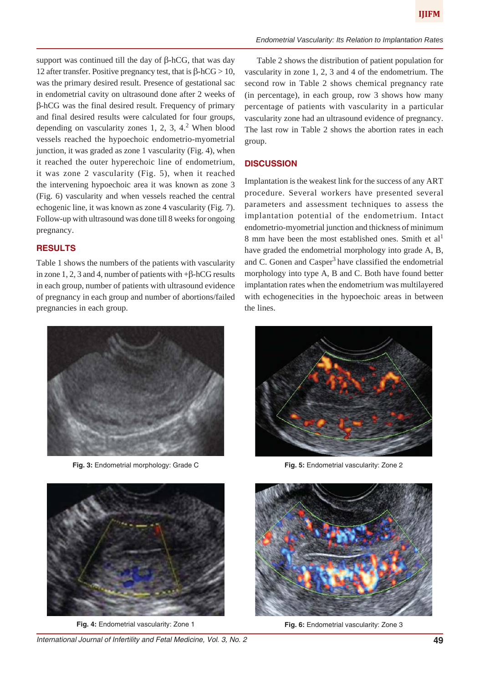support was continued till the day of  $\beta$ -hCG, that was day 12 after transfer. Positive pregnancy test, that is  $β-hCG > 10$ , was the primary desired result. Presence of gestational sac in endometrial cavity on ultrasound done after 2 weeks of β-hCG was the final desired result. Frequency of primary and final desired results were calculated for four groups, depending on vascularity zones  $1, 2, 3, 4$ .<sup>2</sup> When blood vessels reached the hypoechoic endometrio-myometrial junction, it was graded as zone 1 vascularity (Fig. 4), when it reached the outer hyperechoic line of endometrium, it was zone 2 vascularity (Fig. 5), when it reached the intervening hypoechoic area it was known as zone 3 (Fig. 6) vascularity and when vessels reached the central echogenic line, it was known as zone 4 vascularity (Fig. 7). Follow-up with ultrasound was done till 8 weeks for ongoing pregnancy.

### **RESULTS**

Table 1 shows the numbers of the patients with vascularity in zone 1, 2, 3 and 4, number of patients with  $+\beta$ -hCG results in each group, number of patients with ultrasound evidence of pregnancy in each group and number of abortions/failed pregnancies in each group.



**Fig. 3:** Endometrial morphology: Grade C



**Fig. 4:** Endometrial vascularity: Zone 1

*International Journal of Infertility and Fetal Medicine, Vol. 3, No. 2* **49**

Table 2 shows the distribution of patient population for vascularity in zone 1, 2, 3 and 4 of the endometrium. The second row in Table 2 shows chemical pregnancy rate (in percentage), in each group, row 3 shows how many percentage of patients with vascularity in a particular vascularity zone had an ultrasound evidence of pregnancy. The last row in Table 2 shows the abortion rates in each group.

#### **DISCUSSION**

Implantation is the weakest link for the success of any ART procedure. Several workers have presented several parameters and assessment techniques to assess the implantation potential of the endometrium. Intact endometrio-myometrial junction and thickness of minimum 8 mm have been the most established ones. Smith et  $al<sup>1</sup>$ have graded the endometrial morphology into grade A, B, and C. Gonen and  $\text{Casper}^3$  have classified the endometrial morphology into type A, B and C. Both have found better implantation rates when the endometrium was multilayered with echogenecities in the hypoechoic areas in between the lines.



**Fig. 5:** Endometrial vascularity: Zone 2



**Fig. 6:** Endometrial vascularity: Zone 3